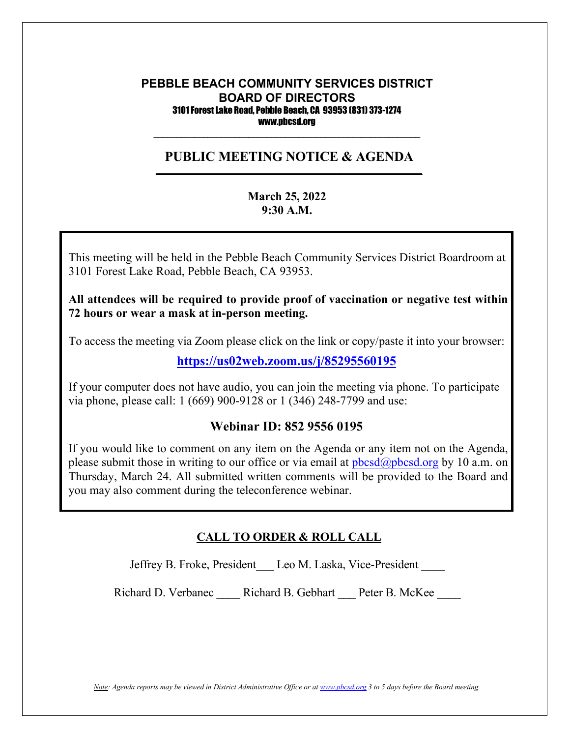#### **PEBBLE BEACH COMMUNITY SERVICES DISTRICT BOARD OF DIRECTORS** 3101 Forest Lake Road, Pebble Beach, CA 93953 (831) 373-1274 www.pbcsd.org

#### **PUBLIC MEETING NOTICE & AGENDA \_\_\_\_\_\_\_\_\_\_\_\_\_\_\_\_\_\_\_\_\_\_\_\_\_\_\_\_\_\_\_\_\_\_\_\_\_\_\_\_\_\_\_\_\_\_\_\_\_\_\_\_\_\_\_\_\_\_\_**

 $\frac{1}{2}$  ,  $\frac{1}{2}$  ,  $\frac{1}{2}$  ,  $\frac{1}{2}$  ,  $\frac{1}{2}$  ,  $\frac{1}{2}$  ,  $\frac{1}{2}$  ,  $\frac{1}{2}$  ,  $\frac{1}{2}$  ,  $\frac{1}{2}$  ,  $\frac{1}{2}$  ,  $\frac{1}{2}$  ,  $\frac{1}{2}$  ,  $\frac{1}{2}$  ,  $\frac{1}{2}$  ,  $\frac{1}{2}$  ,  $\frac{1}{2}$  ,  $\frac{1}{2}$  ,  $\frac{1$ 

#### **March 25, 2022 9:30 A.M.**

**COVID-19 Pandemic and State of California Executive Order N-29-20** 3101 Forest Lake Road, Pebble Beach, CA 93953. This meeting will be held in the Pebble Beach Community Services District Boardroom at

 $\mathbf{r}$  to  $\mathbf{r}$  safety  $\mathbf{r}$  safety District (PBCSD) will conduct its  $\mathbf{r}$ All attendees will be required to provide proof of vaccination or negative test within  $\overline{\phantom{a}}$ **72 hours or wear a mask at in-person meeting.**

Access information will be provided in the final agenda at least three days prior to the To access the meeting via Zoom please click on the link or copy/paste it into your browser:

**<https://us02web.zoom.us/j/85295560195>**

If your computer does not have audio, you can join the meeting via phone. To participate via phone, please call: 1 (669) 900-9128 or 1 (346) 248-7799 and use:

#### **Webinar ID: 852 9556 0195**

If you would like to comment on any item on the Agenda or any item not on the Agenda, please submit those in writing to our office or via email at  $pbcsd(\omega pbcsd, org by 10 a.m.$  on Thursday, March 24. All submitted written comments will be provided to the Board and you may also comment during the teleconference webinar.

#### **CALL TO ORDER & ROLL CALL**

Jeffrey B. Froke, President Leo M. Laska, Vice-President \_\_\_\_

Richard D. Verbanec \_\_\_\_ Richard B. Gebhart \_\_\_ Peter B. McKee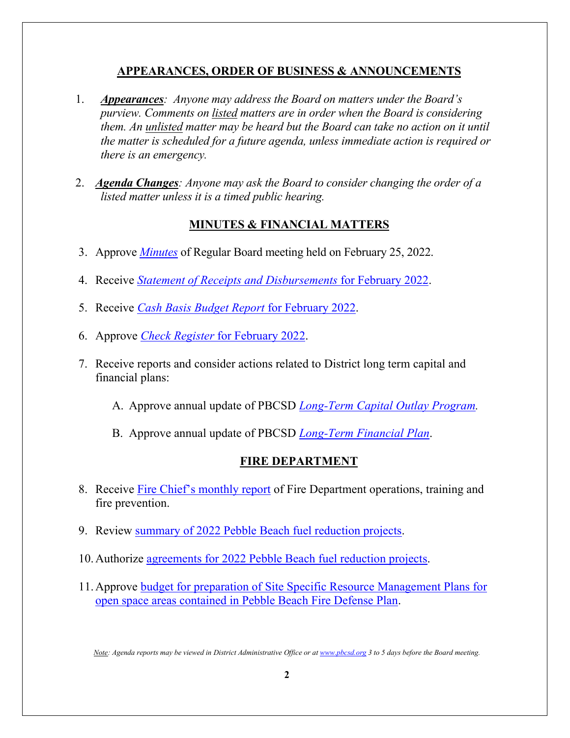## **APPEARANCES, ORDER OF BUSINESS & ANNOUNCEMENTS**

- 1. *Appearances: Anyone may address the Board on matters under the Board's purview. Comments on listed matters are in order when the Board is considering them. An unlisted matter may be heard but the Board can take no action on it until the matter is scheduled for a future agenda, unless immediate action is required or there is an emergency.*
- 2. *Agenda Changes: Anyone may ask the Board to consider changing the order of a listed matter unless it is a timed public hearing.*

### **MINUTES & FINANCIAL MATTERS**

- 3. Approve *[Minutes](https://pbcsd.org/wp-content/uploads/2022/03/03-PBCSD-Draft-minutes-for-Board-Meeting-on-February-25-2022.pdf)* of Regular Board meeting held on February 25, 2022.
- 4. Receive *[Statement of Receipts and Disbursements](https://pbcsd.org/wp-content/uploads/2022/03/04-Statement-of-Receipts-Disbursements-for-February-2022.pdf)* for February 2022.
- 5. Receive *[Cash Basis Budget Report](https://pbcsd.org/wp-content/uploads/2022/03/05-Cash-Basis-Budget-Report-for-February-2022.pdf)* for February 2022.
- 6. Approve *[Check Register](https://pbcsd.org/wp-content/uploads/2022/03/06-Check-Register-for-February-2022.pdf)* for February 2022.
- 7. Receive reports and consider actions related to District long term capital and financial plans:
	- A. Approve annual update of PBCSD *[Long-Term Capital Outlay Program.](https://pbcsd.org/wp-content/uploads/2022/03/07A-Long-Term-Capital-Outlay-Program-Report.pdf)*
	- B. Approve annual update of PBCSD *[Long-Term Financial Plan](https://pbcsd.org/wp-content/uploads/2022/03/07B-Long-Term-Financial-Plan.pdf)*.

#### **FIRE DEPARTMENT**

- 8. Receive [Fire Chief's monthly report](https://pbcsd.org/wp-content/uploads/2022/03/08-Fire-Chiefs-Monthly-Report.pdf) of Fire Department operations, training and fire prevention.
- 9. Review [summary of 2022 Pebble Beach fuel reduction projects.](https://pbcsd.org/wp-content/uploads/2022/03/09-Summary-of-2022-Pebble-Beach-Fuel-Reduction-Projects.pdf)
- 10.Authorize agreements for [2022 Pebble Beach fuel reduction projects.](https://pbcsd.org/wp-content/uploads/2022/03/10-Agreements-for-2022-Fuel-Reduction-Projects.pdf)
- 11.Approve budget for preparation of [Site Specific Resource Management Plans for](https://pbcsd.org/wp-content/uploads/2022/03/11-Budget-for-Open-Space-Site-Specific-Resource-Management-Plans.pdf)  [open space areas contained in Pebble Beach Fire Defense Plan.](https://pbcsd.org/wp-content/uploads/2022/03/11-Budget-for-Open-Space-Site-Specific-Resource-Management-Plans.pdf)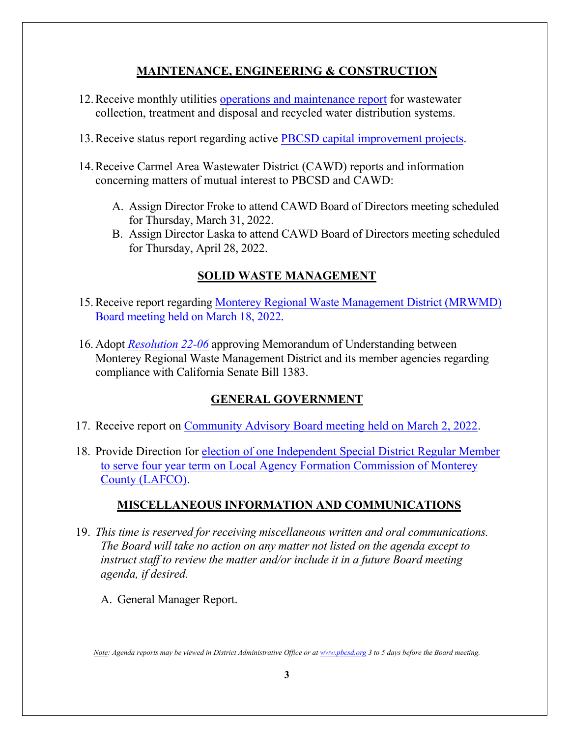## **MAINTENANCE, ENGINEERING & CONSTRUCTION**

- 12.Receive monthly utilities [operations and maintenance report](https://pbcsd.org/wp-content/uploads/2022/03/12-Operations-Maintenance-Report.pdf) for wastewater collection, treatment and disposal and recycled water distribution systems.
- 13.Receive status report regarding active [PBCSD capital improvement projects.](https://pbcsd.org/wp-content/uploads/2022/03/13-Capital-Improvement-Projects-Report.pdf)
- 14.Receive Carmel Area Wastewater District (CAWD) reports and information concerning matters of mutual interest to PBCSD and CAWD:
	- A. Assign Director Froke to attend CAWD Board of Directors meeting scheduled for Thursday, March 31, 2022.
	- B. Assign Director Laska to attend CAWD Board of Directors meeting scheduled for Thursday, April 28, 2022.

# **SOLID WASTE MANAGEMENT**

- 15.Receive report regarding [Monterey Regional Waste Management District \(MRWMD\)](https://pbcsd.org/wp-content/uploads/2022/03/15-MRWMD-Board-Meeting-Agenda-GM-Report-for-March-18-2022.pdf)  [Board meeting](https://pbcsd.org/wp-content/uploads/2022/03/15-MRWMD-Board-Meeting-Agenda-GM-Report-for-March-18-2022.pdf) held on March 18, 2022.
- 16. Adopt *[Resolution 22-06](https://pbcsd.org/wp-content/uploads/2022/03/16-MRWMD-MOU-for-SB1383-Grant-Funds.pdf)* approving Memorandum of Understanding between Monterey Regional Waste Management District and its member agencies regarding compliance with California Senate Bill 1383.

## **GENERAL GOVERNMENT**

- 17. Receive report on [Community Advisory Board meeting held on March 2, 2022.](https://pbcsd.org/wp-content/uploads/2022/03/17-Community-Advisory-Board-Meeting-on-March-2022.pdf)
- 18. Provide Direction for [election of one Independent Special District Regular Member](https://pbcsd.org/wp-content/uploads/2022/03/18-Independent-Special-District-Voting-Packet.pdf)  [to serve four year term on Local Agency Formation Commission of Monterey](https://pbcsd.org/wp-content/uploads/2022/03/18-Independent-Special-District-Voting-Packet.pdf)  [County \(LAFCO\).](https://pbcsd.org/wp-content/uploads/2022/03/18-Independent-Special-District-Voting-Packet.pdf)

## **MISCELLANEOUS INFORMATION AND COMMUNICATIONS**

- 19. *This time is reserved for receiving miscellaneous written and oral communications. The Board will take no action on any matter not listed on the agenda except to instruct staff to review the matter and/or include it in a future Board meeting agenda, if desired.*
	- A. General Manager Report.